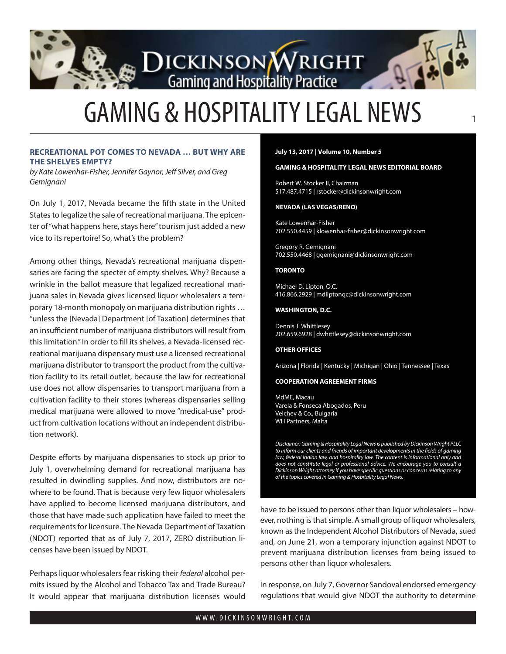# **DICKINSON WRIGHT**

# GAMING & HOSPITALITY LEGAL NEWS <sup>1</sup>

## **RECREATIONAL POT COMES TO NEVADA … BUT WHY ARE THE SHELVES EMPTY?**

*by Kate Lowenhar-Fisher, Jennifer Gaynor, Jeff Silver, and Greg Gemignani* 

On July 1, 2017, Nevada became the fifth state in the United States to legalize the sale of recreational marijuana. The epicenter of "what happens here, stays here" tourism just added a new vice to its repertoire! So, what's the problem?

Among other things, Nevada's recreational marijuana dispensaries are facing the specter of empty shelves. Why? Because a wrinkle in the ballot measure that legalized recreational marijuana sales in Nevada gives licensed liquor wholesalers a temporary 18-month monopoly on marijuana distribution rights … "unless the [Nevada] Department [of Taxation] determines that an insufficient number of marijuana distributors will result from this limitation." In order to fill its shelves, a Nevada-licensed recreational marijuana dispensary must use a licensed recreational marijuana distributor to transport the product from the cultivation facility to its retail outlet, because the law for recreational use does not allow dispensaries to transport marijuana from a cultivation facility to their stores (whereas dispensaries selling medical marijuana were allowed to move "medical-use" product from cultivation locations without an independent distribution network).

Despite efforts by marijuana dispensaries to stock up prior to July 1, overwhelming demand for recreational marijuana has resulted in dwindling supplies. And now, distributors are nowhere to be found. That is because very few liquor wholesalers have applied to become licensed marijuana distributors, and those that have made such application have failed to meet the requirements for licensure. The Nevada Department of Taxation (NDOT) reported that as of July 7, 2017, ZERO distribution licenses have been issued by NDOT.

Perhaps liquor wholesalers fear risking their *federal* alcohol permits issued by the Alcohol and Tobacco Tax and Trade Bureau? It would appear that marijuana distribution licenses would

#### **July 13, 2017 | Volume 10, Number 5**

#### **GAMING & HOSPITALITY LEGAL NEWS EDITORIAL BOARD**

Robert W. Stocker II, Chairman 517.487.4715 | rstocker@dickinsonwright.com

#### **NEVADA (LAS VEGAS/RENO)**

Kate Lowenhar-Fisher 702.550.4459 | klowenhar-fisher@dickinsonwright.com

Gregory R. Gemignani 702.550.4468 | ggemignani@dickinsonwright.com

#### **TORONTO**

Michael D. Lipton, Q.C. 416.866.2929 | mdliptonqc@dickinsonwright.com

#### **WASHINGTON, D.C.**

Dennis J. Whittlesey 202.659.6928 | dwhittlesey@dickinsonwright.com

#### **OTHER OFFICES**

Arizona | Florida | Kentucky | Michigan | Ohio | Tennessee | Texas

#### **COOPERATION AGREEMENT FIRMS**

[MdME, Macau](www.mdme.com.mo) [Varela & Fonseca Abogados, Peru](www.varelafonseca.com) [Velchev & Co., Bulgaria](www.vlaw.bg) [WH Partners, Malta](www.whpartners.eu)

*Disclaimer: Gaming & Hospitality Legal News is published by Dickinson Wright PLLC to inform our clients and friends of important developments in the fields of gaming*  law, federal Indian law, and hospitality law. The content is informational only and *does not constitute legal or professional advice. We encourage you to consult a Dickinson Wright attorney if you have specific questions or concerns relating to any of the topics covered in Gaming & Hospitality Legal News.*

have to be issued to persons other than liquor wholesalers – however, nothing is that simple. A small group of liquor wholesalers, known as the Independent Alcohol Distributors of Nevada, sued and, on June 21, won a temporary injunction against NDOT to prevent marijuana distribution licenses from being issued to persons other than liquor wholesalers.

In response, on July 7, Governor Sandoval endorsed emergency regulations that would give NDOT the authority to determine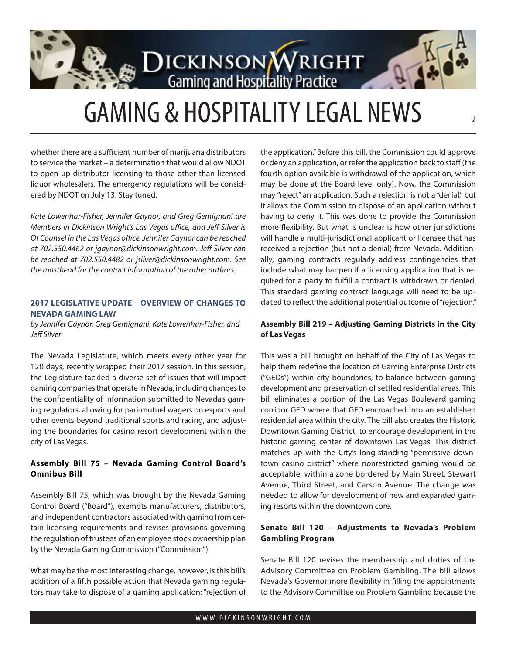

# GAMING & HOSPITALITY LEGAL NEWS

whether there are a sufficient number of marijuana distributors to service the market – a determination that would allow NDOT to open up distributor licensing to those other than licensed liquor wholesalers. The emergency regulations will be considered by NDOT on July 13. Stay tuned.

*Kate Lowenhar-Fisher, Jennifer Gaynor, and Greg Gemignani are Members in Dickinson Wright's Las Vegas office, and Jeff Silver is Of Counsel in the Las Vegas office. Jennifer Gaynor can be reached at 702.550.4462 or jgaynor@dickinsonwright.com. Jeff Silver can be reached at 702.550.4482 or jsilver@dickinsonwright.com. See the masthead for the contact information of the other authors.*

## **2017 LEGISLATIVE UPDATE – OVERVIEW OF CHANGES TO NEVADA GAMING LAW**

*by Jennifer Gaynor, Greg Gemignani, Kate Lowenhar-Fisher, and Jeff Silver*

The Nevada Legislature, which meets every other year for 120 days, recently wrapped their 2017 session. In this session, the Legislature tackled a diverse set of issues that will impact gaming companies that operate in Nevada, including changes to the confidentiality of information submitted to Nevada's gaming regulators, allowing for pari-mutuel wagers on esports and other events beyond traditional sports and racing, and adjusting the boundaries for casino resort development within the city of Las Vegas.

# **Assembly Bill 75 – Nevada Gaming Control Board's Omnibus Bill**

Assembly Bill 75, which was brought by the Nevada Gaming Control Board ("Board"), exempts manufacturers, distributors, and independent contractors associated with gaming from certain licensing requirements and revises provisions governing the regulation of trustees of an employee stock ownership plan by the Nevada Gaming Commission ("Commission").

What may be the most interesting change, however, is this bill's addition of a fifth possible action that Nevada gaming regulators may take to dispose of a gaming application: "rejection of

the application." Before this bill, the Commission could approve or deny an application, or refer the application back to staff (the fourth option available is withdrawal of the application, which may be done at the Board level only). Now, the Commission may "reject" an application. Such a rejection is not a "denial," but it allows the Commission to dispose of an application without having to deny it. This was done to provide the Commission more flexibility. But what is unclear is how other jurisdictions will handle a multi-jurisdictional applicant or licensee that has received a rejection (but not a denial) from Nevada. Additionally, gaming contracts regularly address contingencies that include what may happen if a licensing application that is required for a party to fulfill a contract is withdrawn or denied. This standard gaming contract language will need to be updated to reflect the additional potential outcome of "rejection."

# **Assembly Bill 219 – Adjusting Gaming Districts in the City of Las Vegas**

This was a bill brought on behalf of the City of Las Vegas to help them redefine the location of Gaming Enterprise Districts ("GEDs") within city boundaries, to balance between gaming development and preservation of settled residential areas. This bill eliminates a portion of the Las Vegas Boulevard gaming corridor GED where that GED encroached into an established residential area within the city. The bill also creates the Historic Downtown Gaming District, to encourage development in the historic gaming center of downtown Las Vegas. This district matches up with the City's long-standing "permissive downtown casino district" where nonrestricted gaming would be acceptable, within a zone bordered by Main Street, Stewart Avenue, Third Street, and Carson Avenue. The change was needed to allow for development of new and expanded gaming resorts within the downtown core.

# **Senate Bill 120 – Adjustments to Nevada's Problem Gambling Program**

Senate Bill 120 revises the membership and duties of the Advisory Committee on Problem Gambling. The bill allows Nevada's Governor more flexibility in filling the appointments to the Advisory Committee on Problem Gambling because the